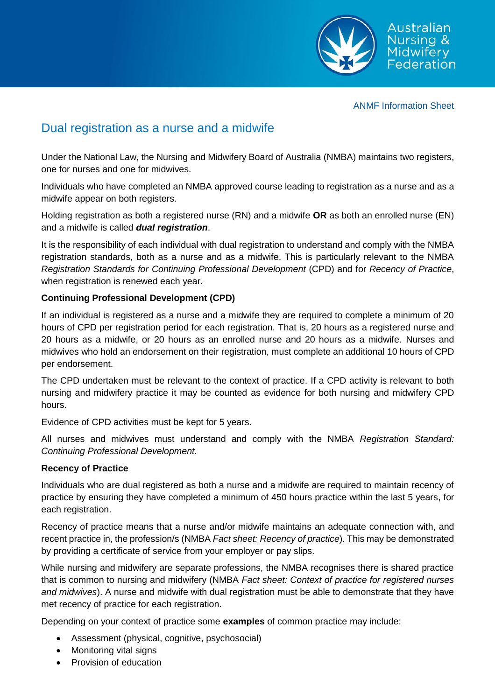

ANMF Information Sheet

## Dual registration as a nurse and a midwife

Under the National Law, the Nursing and Midwifery Board of Australia (NMBA) maintains two registers, one for nurses and one for midwives.

Individuals who have completed an NMBA approved course leading to registration as a nurse and as a midwife appear on both registers.

Holding registration as both a registered nurse (RN) and a midwife **OR** as both an enrolled nurse (EN) and a midwife is called *dual registration*.

It is the responsibility of each individual with dual registration to understand and comply with the NMBA registration standards, both as a nurse and as a midwife. This is particularly relevant to the NMBA *Registration Standards for Continuing Professional Development* (CPD) and for *Recency of Practice*, when registration is renewed each year.

## **Continuing Professional Development (CPD)**

If an individual is registered as a nurse and a midwife they are required to complete a minimum of 20 hours of CPD per registration period for each registration. That is, 20 hours as a registered nurse and 20 hours as a midwife, or 20 hours as an enrolled nurse and 20 hours as a midwife. Nurses and midwives who hold an endorsement on their registration, must complete an additional 10 hours of CPD per endorsement.

The CPD undertaken must be relevant to the context of practice. If a CPD activity is relevant to both nursing and midwifery practice it may be counted as evidence for both nursing and midwifery CPD hours.

Evidence of CPD activities must be kept for 5 years.

All nurses and midwives must understand and comply with the NMBA *Registration Standard: Continuing Professional Development.*

## **Recency of Practice**

Individuals who are dual registered as both a nurse and a midwife are required to maintain recency of practice by ensuring they have completed a minimum of 450 hours practice within the last 5 years, for each registration.

Recency of practice means that a nurse and/or midwife maintains an adequate connection with, and recent practice in, the profession/s (NMBA *Fact sheet: Recency of practice*). This may be demonstrated by providing a certificate of service from your employer or pay slips.

While nursing and midwifery are separate professions, the NMBA recognises there is shared practice that is common to nursing and midwifery (NMBA *Fact sheet: Context of practice for registered nurses and midwives*). A nurse and midwife with dual registration must be able to demonstrate that they have met recency of practice for each registration.

Depending on your context of practice some **examples** of common practice may include:

- Assessment (physical, cognitive, psychosocial)
- Monitoring vital signs
- Provision of education